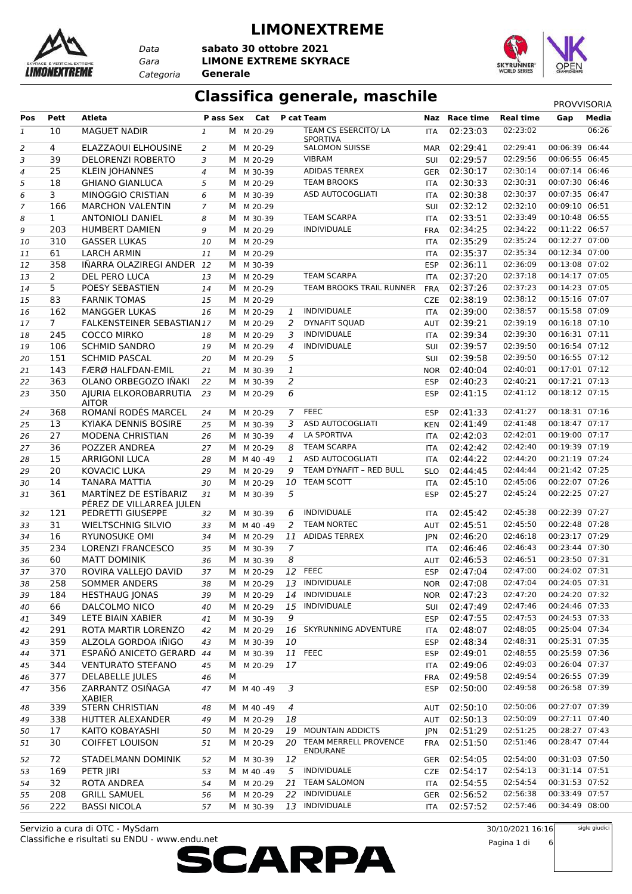

*Data Categoria* **Generale**

#### **LIMONEXTREME**

*Gara* **LIMONE EXTREME SKYRACE sabato 30 ottobre 2021**



## **Classifica generale, maschile** PROVVISORIA

| Pos          | <b>Pett</b>    | <b>Atleta</b>                                 | P ass Sex      |   | Cat       |                | P cat Team                               |            | Naz Race time | <b>Real time</b>     | Gap                              | Media |
|--------------|----------------|-----------------------------------------------|----------------|---|-----------|----------------|------------------------------------------|------------|---------------|----------------------|----------------------------------|-------|
| $\mathbf{1}$ | 10             | <b>MAGUET NADIR</b>                           | 1              |   | M M 20-29 |                | TEAM CS ESERCITO/ LA                     | <b>ITA</b> | 02:23:03      | 02:23:02             |                                  | 06:26 |
| 2            | $\overline{4}$ | ELAZZAOUI ELHOUSINE                           | 2              | M | M 20-29   |                | <b>SPORTIVA</b><br><b>SALOMON SUISSE</b> | <b>MAR</b> | 02:29:41      | 02:29:41             | 00:06:39 06:44                   |       |
| 3            | 39             | <b>DELORENZI ROBERTO</b>                      | 3              | м | M 20-29   |                | <b>VIBRAM</b>                            | SUI        | 02:29:57      | 02:29:56             | 00:06:55 06:45                   |       |
| 4            | 25             | <b>KLEIN JOHANNES</b>                         | $\overline{4}$ | м | M 30-39   |                | ADIDAS TERREX                            | GER        | 02:30:17      | 02:30:14             | 00:07:14 06:46                   |       |
| 5            | 18             | <b>GHIANO GIANLUCA</b>                        | 5              | м | M 20-29   |                | <b>TEAM BROOKS</b>                       | ITA        | 02:30:33      | 02:30:31             | 00:07:30 06:46                   |       |
| 6            | 3              | MINOGGIO CRISTIAN                             | 6              | м | M 30-39   |                | ASD AUTOCOGLIATI                         | ITA        | 02:30:38      | 02:30:37             | 00:07:35 06:47                   |       |
| 7            | 166            | <b>MARCHON VALENTIN</b>                       | 7              | м | M 20-29   |                |                                          | <b>SUI</b> | 02:32:12      | 02:32:10             | 00:09:10 06:51                   |       |
| 8            | $\mathbf{1}$   | <b>ANTONIOLI DANIEL</b>                       | 8              | м | M 30-39   |                | <b>TEAM SCARPA</b>                       | ITA        | 02:33:51      | 02:33:49             | 00:10:48 06:55                   |       |
| 9            | 203            | <b>HUMBERT DAMIEN</b>                         | 9              | м | M 20-29   |                | <b>INDIVIDUALE</b>                       | <b>FRA</b> | 02:34:25      | 02:34:22             | 00:11:22 06:57                   |       |
| 10           | 310            | <b>GASSER LUKAS</b>                           | 10             | M | M 20-29   |                |                                          | <b>ITA</b> | 02:35:29      | 02:35:24             | 00:12:27 07:00                   |       |
| 11           | 61             | <b>LARCH ARMIN</b>                            | 11             | М | M 20-29   |                |                                          | ITA        | 02:35:37      | 02:35:34             | 00:12:34 07:00                   |       |
| 12           | 358            | IÑARRA OLAZIREGI ANDER 12                     |                | M | M 30-39   |                |                                          | <b>ESP</b> | 02:36:11      | 02:36:09             | 00:13:08 07:02                   |       |
| 13           | 2              | DEL PERO LUCA                                 | 13             | M | M 20-29   |                | <b>TEAM SCARPA</b>                       | ITA        | 02:37:20      | 02:37:18             | 00:14:17 07:05                   |       |
| 14           | 5              | POESY SEBASTIEN                               | 14             |   | M M 20-29 |                | TEAM BROOKS TRAIL RUNNER                 | <b>FRA</b> | 02:37:26      | 02:37:23             | 00:14:23 07:05                   |       |
| 15           | 83             | <b>FARNIK TOMAS</b>                           | 15             | м | M 20-29   |                |                                          | <b>CZE</b> | 02:38:19      | 02:38:12             | 00:15:16 07:07                   |       |
| 16           | 162            | <b>MANGGER LUKAS</b>                          | 16             | M | M 20-29   | 1              | <b>INDIVIDUALE</b>                       | ITA        | 02:39:00      | 02:38:57             | 00:15:58 07:09                   |       |
| 17           | $\overline{7}$ | FALKENSTEINER SEBASTIAN17                     |                | M | M 20-29   | 2              | <b>DYNAFIT SOUAD</b>                     | <b>AUT</b> | 02:39:21      | 02:39:19             | 00:16:18 07:10                   |       |
| 18           | 245            | <b>COCCO MIRKO</b>                            | 18             | M | M 20-29   | 3              | <b>INDIVIDUALE</b>                       | <b>ITA</b> | 02:39:34      | 02:39:30             | 00:16:31 07:11                   |       |
| 19           | 106            | <b>SCHMID SANDRO</b>                          | 19             | M | M 20-29   | 4              | <b>INDIVIDUALE</b>                       | <b>SUI</b> | 02:39:57      | 02:39:50             | 00:16:54 07:12                   |       |
| 20           | 151            | <b>SCHMID PASCAL</b>                          | 20             | М | M 20-29   | 5              |                                          | SUI        | 02:39:58      | 02:39:50             | 00:16:55 07:12                   |       |
| 21           | 143            | FÆRØ HALFDAN-EMIL                             | 21             | м | M 30-39   | $\mathbf{1}$   |                                          | <b>NOR</b> | 02:40:04      | 02:40:01             | 00:17:01 07:12                   |       |
| 22           | 363            | OLANO ORBEGOZO IÑAKI                          | 22             | М | M 30-39   | 2              |                                          | <b>ESP</b> | 02:40:23      | 02:40:21             | 00:17:21 07:13                   |       |
| 23           | 350            | AJURIA ELKOROBARRUTIA<br><b>AITOR</b>         | 23             | M | M 20-29   | 6              |                                          | <b>ESP</b> | 02:41:15      | 02:41:12             | 00:18:12 07:15                   |       |
| 24           | 368            | ROMANÍ RODÉS MARCEL                           | 24             | M | M 20-29   | 7              | <b>FEEC</b>                              | <b>ESP</b> | 02:41:33      | 02:41:27             | 00:18:31 07:16                   |       |
| 25           | 13             | KYIAKA DENNIS BOSIRE                          | 25             | M | M 30-39   | 3              | ASD AUTOCOGLIATI                         | <b>KEN</b> | 02:41:49      | 02:41:48             | 00:18:47 07:17                   |       |
| 26           | 27             | <b>MODENA CHRISTIAN</b>                       | 26             | M | M 30-39   | 4              | LA SPORTIVA                              | <b>ITA</b> | 02:42:03      | 02:42:01             | 00:19:00 07:17                   |       |
| 27           | 36             | POZZER ANDREA                                 | 27             |   | M M 20-29 | 8              | <b>TEAM SCARPA</b>                       | ITA        | 02:42:42      | 02:42:40             | 00:19:39 07:19                   |       |
| 28           | 15             | <b>ARRIGONI LUCA</b>                          | 28             |   | M M 40-49 | 1              | ASD AUTOCOGLIATI                         | <b>ITA</b> | 02:44:22      | 02:44:20             | 00:21:19 07:24                   |       |
| 29           | 20             | <b>KOVACIC LUKA</b>                           | 29             | M | M 20-29   | 9              | TEAM DYNAFIT - RED BULL                  | <b>SLO</b> | 02:44:45      | 02:44:44             | 00:21:42 07:25                   |       |
| 30           | 14             | <b>TANARA MATTIA</b>                          | 30             | М | M 20-29   | 10             | TEAM SCOTT                               | ITA        | 02:45:10      | 02:45:06             | 00:22:07 07:26                   |       |
| 31           | 361            | MARTÍNEZ DE ESTÍBARIZ                         | 31             | M | M 30-39   | 5              |                                          | <b>ESP</b> | 02:45:27      | 02:45:24             | 00:22:25 07:27                   |       |
| 32           | 121            | PÉREZ DE VILLARREA JULEN<br>PEDRETTI GIUSEPPE | 32             | M | M 30-39   | 6              | <b>INDIVIDUALE</b>                       | ITA        | 02:45:42      | 02:45:38             | 00:22:39 07:27                   |       |
| 33           | 31             | <b>WIELTSCHNIG SILVIO</b>                     | 33             |   | M M 40-49 | 2              | <b>TEAM NORTEC</b>                       | AUT        | 02:45:51      | 02:45:50             | 00:22:48 07:28                   |       |
| 34           | 16             | RYUNOSUKE OMI                                 | 34             |   | M M 20-29 | 11             | <b>ADIDAS TERREX</b>                     | <b>JPN</b> | 02:46:20      | 02:46:18             | 00:23:17 07:29                   |       |
| 35           | 234            | <b>LORENZI FRANCESCO</b>                      | 35             |   | M M 30-39 | $\overline{7}$ |                                          | ITA        | 02:46:46      | 02:46:43             | 00:23:44 07:30                   |       |
| 36           | 60             | <b>MATT DOMINIK</b>                           | 36             |   | M M 30-39 | 8              |                                          | AUT        | 02:46:53      | 02:46:51             | 00:23:50 07:31                   |       |
| 37           | 370            | ROVIRA VALLEJO DAVID                          | 37             |   | M M 20-29 |                | 12 FEEC                                  | <b>ESP</b> | 02:47:04      | 02:47:00             | 00:24:02 07:31                   |       |
| 38           | 258            | SOMMER ANDERS                                 | 38             |   | M M 20-29 |                | 13 INDIVIDUALE                           | <b>NOR</b> | 02:47:08      | 02:47:04             | 00:24:05 07:31                   |       |
| 39           | 184            | <b>HESTHAUG JONAS</b>                         | 39             |   | M M 20-29 |                | 14 INDIVIDUALE                           |            | NOR 02:47:23  | 02:47:20             | 00:24:20 07:32                   |       |
| 40           | 66             | DALCOLMO NICO                                 | 40             |   | M M 20-29 | 15             | INDIVIDUALE                              | SUI        | 02:47:49      | 02:47:46             | 00:24:46 07:33                   |       |
| 41           | 349            | LETE BIAIN XABIER                             | 41             |   | M M 30-39 | 9              |                                          | <b>ESP</b> | 02:47:55      | 02:47:53             | 00:24:53 07:33                   |       |
| 42           | 291            | ROTA MARTIR LORENZO                           | 42             |   | M M 20-29 | 16             | SKYRUNNING ADVENTURE                     | ITA        | 02:48:07      | 02:48:05             | 00:25:04 07:34                   |       |
| 43           | 359            | ALZOLA GORDOA IÑIGO                           | 43             | M | M 30-39   | 10             |                                          | <b>ESP</b> | 02:48:34      | 02:48:31             | 00:25:31 07:35                   |       |
| 44           | 371            | ESPAÑÓ ANICETO GERARD 44                      |                |   | M M 30-39 |                | 11 FEEC                                  | <b>ESP</b> | 02:49:01      | 02:48:55             | 00:25:59 07:36                   |       |
| 45           | 344            | <b>VENTURATO STEFANO</b>                      | 45             |   | M M 20-29 | 17             |                                          | ITA        | 02:49:06      | 02:49:03             | 00:26:04 07:37                   |       |
| 46           | 377            | <b>DELABELLE JULES</b>                        | 46             | М |           |                |                                          | <b>FRA</b> | 02:49:58      | 02:49:54             | 00:26:55 07:39                   |       |
| 47           | 356            | ZARRANTZ OSIÑAGA<br>XABIER                    | 47             |   | M M 40-49 | 3              |                                          | <b>ESP</b> | 02:50:00      | 02:49:58             | 00:26:58 07:39                   |       |
| 48           | 339            | <b>STERN CHRISTIAN</b>                        | 48             |   | M M 40-49 | 4              |                                          | AUT        | 02:50:10      | 02:50:06             | 00:27:07 07:39                   |       |
| 49           | 338            | HUTTER ALEXANDER                              | 49             |   | M M 20-29 | 18             |                                          |            | AUT 02:50:13  | 02:50:09             | 00:27:11 07:40                   |       |
| 50           | 17             | KAITO KOBAYASHI                               | 50             |   | M M 20-29 | 19             | <b>MOUNTAIN ADDICTS</b>                  | <b>JPN</b> | 02:51:29      | 02:51:25             | 00:28:27 07:43                   |       |
| 51           | 30             | <b>COIFFET LOUISON</b>                        | 51             |   | M M 20-29 | 20             | TEAM MERRELL PROVENCE<br>ENDURANE        | FRA        | 02:51:50      | 02:51:46             | 00:28:47 07:44                   |       |
| 52           | 72             | STADELMANN DOMINIK                            | 52             |   | M M 30-39 | 12             |                                          | GER        | 02:54:05      | 02:54:00             | 00:31:03 07:50                   |       |
| 53           | 169            | PETR JIRI                                     | 53             |   | M M 40-49 | 5              | INDIVIDUALE                              |            | CZE 02:54:17  | 02:54:13             | 00:31:14 07:51                   |       |
| 54           | 32             | ROTA ANDREA                                   | 54             |   | M M 20-29 | 21             | <b>TEAM SALOMON</b>                      | ITA        | 02:54:55      | 02:54:54             | 00:31:53 07:52<br>00:33:49 07:57 |       |
| 55           | 208            | <b>GRILL SAMUEL</b>                           | 56             |   | M M 20-29 | 22             | INDIVIDUALE<br>INDIVIDUALE               | GER        | 02:56:52      | 02:56:38<br>02:57:46 | 00:34:49 08:00                   |       |
| 56           | 222            | <b>BASSI NICOLA</b>                           | 57             |   | M M 30-39 | 13             |                                          | ITA        | 02:57:52      |                      |                                  |       |

Classifiche e risultati su ENDU - www.endu.net Servizio a cura di OTC - MySdam

30/10/2021 16:16 Pagina 1 di 6 sigle giudici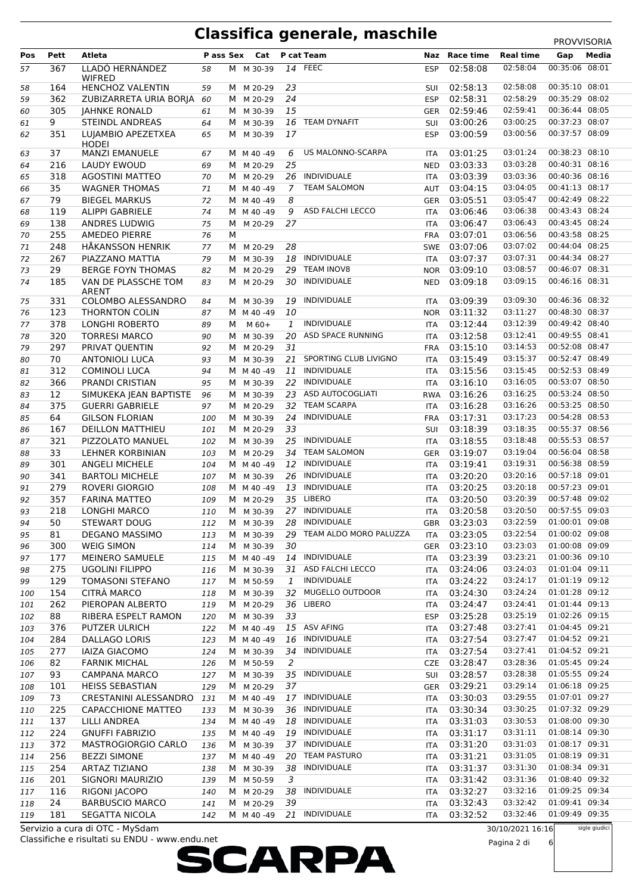|     |      |                                 |     |   |                         |                |                        |            |               |                  | <b>FRUVVIJURIA</b> |               |
|-----|------|---------------------------------|-----|---|-------------------------|----------------|------------------------|------------|---------------|------------------|--------------------|---------------|
| Pos | Pett | Atleta                          |     |   | Pass Sex Cat P cat Team |                |                        |            | Naz Race time | <b>Real time</b> | Gap                | Media         |
| 57  | 367  | LLADÓ HERNÁNDEZ                 | 58  |   | M M 30-39               |                | 14 FEEC                | <b>ESP</b> | 02:58:08      | 02:58:04         | 00:35:06 08:01     |               |
|     |      | <b>WIFRED</b>                   |     |   |                         |                |                        |            |               |                  |                    |               |
| 58  | 164  | HENCHOZ VALENTIN                | 59  |   | M M 20-29               | 23             |                        | <b>SUI</b> | 02:58:13      | 02:58:08         | 00:35:10 08:01     |               |
| 59  | 362  | ZUBIZARRETA URIA BORJA          | 60  |   | M M 20-29               | 24             |                        | <b>ESP</b> | 02:58:31      | 02:58:29         | 00:35:29 08:02     |               |
| 60  | 305  | <b>JAHNKE RONALD</b>            | 61  |   | M M 30-39               | 15             |                        | GER        | 02:59:46      | 02:59:41         | 00:36:44 08:05     |               |
|     |      |                                 |     |   |                         |                |                        |            |               |                  | 00:37:23 08:07     |               |
| 61  | 9    | <b>STEINDL ANDREAS</b>          | 64  | M | M 30-39                 | 16             | <b>TEAM DYNAFIT</b>    | SUI        | 03:00:26      | 03:00:25         |                    |               |
| 62  | 351  | LUJAMBIO APEZETXEA              | 65  | М | M 30-39                 | 17             |                        | <b>ESP</b> | 03:00:59      | 03:00:56         | 00:37:57 08:09     |               |
|     |      | <b>HODEI</b>                    |     |   |                         |                |                        |            |               |                  |                    |               |
| 63  | 37   | <b>MANZI EMANUELE</b>           | 67  |   | M M 40-49               | 6              | US MALONNO-SCARPA      | ITA        | 03:01:25      | 03:01:24         | 00:38:23 08:10     |               |
| 64  | 216  | LAUDY EWOUD                     | 69  |   | M M 20-29               | 25             |                        | <b>NED</b> | 03:03:33      | 03:03:28         | 00:40:31 08:16     |               |
| 65  | 318  | <b>AGOSTINI MATTEO</b>          | 70  |   | M M 20-29               |                | 26 INDIVIDUALE         | <b>ITA</b> | 03:03:39      | 03:03:36         | 00:40:36 08:16     |               |
| 66  | 35   | <b>WAGNER THOMAS</b>            | 71  |   | M M 40-49               | $\overline{7}$ | <b>TEAM SALOMON</b>    | AUT        | 03:04:15      | 03:04:05         | 00:41:13 08:17     |               |
| 67  | 79   | <b>BIEGEL MARKUS</b>            | 72  |   | M M 40-49               | 8              |                        |            | GER 03:05:51  | 03:05:47         | 00:42:49 08:22     |               |
| 68  | 119  | <b>ALIPPI GABRIELE</b>          | 74  |   | M M 40-49               | 9              | ASD FALCHI LECCO       | <b>ITA</b> | 03:06:46      | 03:06:38         | 00:43:43 08:24     |               |
| 69  | 138  | ANDRES LUDWIG                   | 75  |   | M M 20-29               | 27             |                        | <b>ITA</b> | 03:06:47      | 03:06:43         | 00:43:45 08:24     |               |
|     |      |                                 |     |   |                         |                |                        |            |               | 03:06:56         | 00:43:58 08:25     |               |
| 70  | 255  | AMEDEO PIERRE                   | 76  | M |                         |                |                        | FRA        | 03:07:01      |                  |                    |               |
| 71  | 248  | <b>HÅKANSSON HENRIK</b>         | 77  | M | M 20-29                 | 28             |                        | SWE        | 03:07:06      | 03:07:02         | 00:44:04 08:25     |               |
| 72  | 267  | PIAZZANO MATTIA                 | 79  |   | M M 30-39               |                | 18 INDIVIDUALE         | <b>ITA</b> | 03:07:37      | 03:07:31         | 00:44:34 08:27     |               |
| 73  | 29   | <b>BERGE FOYN THOMAS</b>        | 82  | M | M 20-29                 | 29             | <b>TEAM INOV8</b>      |            | NOR 03:09:10  | 03:08:57         | 00:46:07 08:31     |               |
| 74  | 185  | VAN DE PLASSCHE TOM             | 83  | M | M 20-29                 | 30             | INDIVIDUALE            | <b>NED</b> | 03:09:18      | 03:09:15         | 00:46:16 08:31     |               |
|     |      | <b>ARENT</b>                    |     |   |                         |                |                        |            |               |                  |                    |               |
| 75  | 331  | COLOMBO ALESSANDRO              | 84  | M | M 30-39                 | 19             | <b>INDIVIDUALE</b>     | ITA        | 03:09:39      | 03:09:30         | 00:46:36 08:32     |               |
| 76  | 123  | THORNTON COLIN                  | 87  |   | M M 40-49               | 10             |                        | <b>NOR</b> | 03:11:32      | 03:11:27         | 00:48:30 08:37     |               |
| 77  | 378  | <b>LONGHI ROBERTO</b>           | 89  | M | $M$ 60+                 | 1              | <b>INDIVIDUALE</b>     | <b>ITA</b> | 03:12:44      | 03:12:39         | 00:49:42 08:40     |               |
|     | 320  | <b>TORRESI MARCO</b>            |     |   | M 30-39                 | 20             | ASD SPACE RUNNING      |            | 03:12:58      | 03:12:41         | 00:49:55 08:41     |               |
| 78  |      |                                 | 90  | M |                         |                |                        | <b>ITA</b> |               |                  |                    |               |
| 79  | 297  | PRIVAT QUENTIN                  | 92  |   | M M 20-29               | 31             |                        |            | FRA 03:15:10  | 03:14:53         | 00:52:08 08:47     |               |
| 80  | 70   | <b>ANTONIOLI LUCA</b>           | 93  |   | M M 30-39               | 21             | SPORTING CLUB LIVIGNO  | <b>ITA</b> | 03:15:49      | 03:15:37         | 00:52:47 08:49     |               |
| 81  | 312  | <b>COMINOLI LUCA</b>            | 94  |   | M M 40-49               | 11             | INDIVIDUALE            | ITA        | 03:15:56      | 03:15:45         | 00:52:53 08:49     |               |
| 82  | 366  | PRANDI CRISTIAN                 | 95  |   | M M 30-39               | 22             | INDIVIDUALE            | <b>ITA</b> | 03:16:10      | 03:16:05         | 00:53:07 08:50     |               |
| 83  | 12   | SIMUKEKA JEAN BAPTISTE          | 96  |   | M M 30-39               | 23             | ASD AUTOCOGLIATI       |            | RWA 03:16:26  | 03:16:25         | 00:53:24 08:50     |               |
| 84  | 375  | <b>GUERRI GABRIELE</b>          | 97  |   | M M 20-29               | 32             | <b>TEAM SCARPA</b>     | <b>ITA</b> | 03:16:28      | 03:16:26         | 00:53:25 08:50     |               |
|     | 64   | <b>GILSON FLORIAN</b>           |     |   | M M 30-39               | 24             | INDIVIDUALE            |            | FRA 03:17:31  | 03:17:23         | 00:54:28 08:53     |               |
| 85  |      |                                 | 100 |   |                         |                |                        |            |               |                  |                    |               |
| 86  | 167  | <b>DEILLON MATTHIEU</b>         | 101 | M | M 20-29                 | 33             |                        | SUI        | 03:18:39      | 03:18:35         | 00:55:37 08:56     |               |
| 87  | 321  | PIZZOLATO MANUEL                | 102 | M | M 30-39                 | 25             | INDIVIDUALE            | <b>ITA</b> | 03:18:55      | 03:18:48         | 00:55:53 08:57     |               |
| 88  | 33   | LEHNER KORBINIAN                | 103 | M | M 20-29                 |                | 34 TEAM SALOMON        | GER        | 03:19:07      | 03:19:04         | 00:56:04 08:58     |               |
| 89  | 301  | <b>ANGELI MICHELE</b>           | 104 |   | M M 40-49               | 12             | INDIVIDUALE            | <b>ITA</b> | 03:19:41      | 03:19:31         | 00:56:38 08:59     |               |
| 90  | 341  | <b>BARTOLI MICHELE</b>          | 107 |   | M M 30-39               | 26             | INDIVIDUALE            | ITA        | 03:20:20      | 03:20:16         | 00:57:18 09:01     |               |
| 91  | 279  | <b>ROVERI GIORGIO</b>           | 108 |   | M M 40-49               | 13             | INDIVIDUALE            | <b>ITA</b> | 03:20:25      | 03:20:18         | 00:57:23 09:01     |               |
| 92  | 357  | <b>FARINA MATTEO</b>            | 109 | M | M 20-29                 | 35             | LIBERO                 |            | 03:20:50      | 03:20:39         | 00:57:48 09:02     |               |
|     |      |                                 |     |   |                         |                |                        | ITA        |               |                  |                    |               |
| 93  | 218  | LONGHI MARCO                    | 110 |   | M M 30-39               |                | 27 INDIVIDUALE         | <b>ITA</b> | 03:20:58      | 03:20:50         | 00:57:55 09:03     |               |
| 94  | 50   | <b>STEWART DOUG</b>             | 112 |   | M M 30-39               |                | 28 INDIVIDUALE         | <b>GBR</b> | 03:23:03      | 03:22:59         | 01:00:01 09:08     |               |
| 95  | 81   | <b>DEGANO MASSIMO</b>           | 113 |   | M M 30-39               | 29             | TEAM ALDO MORO PALUZZA | ITA        | 03:23:05      | 03:22:54         | 01:00:02 09:08     |               |
| 96  | 300  | <b>WEIG SIMON</b>               | 114 |   | M M 30-39               | 30             |                        | GER        | 03:23:10      | 03:23:03         | 01:00:08 09:09     |               |
| 97  | 177  | <b>MEINERO SAMUELE</b>          | 115 |   | M M 40 -49              |                | 14 INDIVIDUALE         | ITA        | 03:23:39      | 03:23:21         | 01:00:36 09:10     |               |
| 98  | 275  | <b>UGOLINI FILIPPO</b>          | 116 |   | M M 30-39               | 31             | ASD FALCHI LECCO       | <b>ITA</b> | 03:24:06      | 03:24:03         | 01:01:04 09:11     |               |
| 99  | 129  | <b>TOMASONI STEFANO</b>         | 117 |   | M M 50-59               | 1              | INDIVIDUALE            |            | 03:24:22      | 03:24:17         | 01:01:19 09:12     |               |
|     |      |                                 |     |   |                         |                |                        | ITA        |               | 03:24:24         | 01:01:28 09:12     |               |
| 100 | 154  | <b>CITRA MARCO</b>              | 118 |   | M M 30-39               | 32             | MUGELLO OUTDOOR        | ITA        | 03:24:30      |                  |                    |               |
| 101 | 262  | PIEROPAN ALBERTO                | 119 |   | M M 20-29               | 36             | LIBERO                 | ITA        | 03:24:47      | 03:24:41         | 01:01:44 09:13     |               |
| 102 | 88   | RIBERA ESPELT RAMON             | 120 |   | M M 30-39               | 33             |                        | <b>ESP</b> | 03:25:28      | 03:25:19         | 01:02:26 09:15     |               |
| 103 | 376  | PUTZER ULRICH                   | 122 |   | M M 40-49               |                | 15 ASV AFING           | ITA        | 03:27:48      | 03:27:41         | 01:04:45 09:21     |               |
| 104 | 284  | DALLAGO LORIS                   | 123 |   | M M 40-49               | 16             | INDIVIDUALE            | ITA        | 03:27:54      | 03:27:47         | 01:04:52 09:21     |               |
| 105 | 277  | <b>IAIZA GIACOMO</b>            | 124 |   | M M 30-39               | 34             | INDIVIDUALE            | ITA        | 03:27:54      | 03:27:41         | 01:04:52 09:21     |               |
| 106 | 82   | <b>FARNIK MICHAL</b>            | 126 |   | M M 50-59               | 2              |                        |            | CZE 03:28:47  | 03:28:36         | 01:05:45 09:24     |               |
|     |      |                                 |     |   |                         |                |                        |            |               |                  |                    |               |
| 107 | 93   | <b>CAMPANA MARCO</b>            | 127 |   | M M 30-39               | 35             | INDIVIDUALE            | SUI        | 03:28:57      | 03:28:38         | 01:05:55 09:24     |               |
| 108 | 101  | <b>HEISS SEBASTIAN</b>          | 129 |   | M M 20-29               | 37             |                        | GER        | 03:29:21      | 03:29:14         | 01:06:18 09:25     |               |
| 109 | 73   | CRESTANINI ALESSANDRO           | 131 |   | M M 40 -49              |                | 17 INDIVIDUALE         | ITA        | 03:30:03      | 03:29:55         | 01:07:01 09:27     |               |
| 110 | 225  | CAPACCHIONE MATTEO              | 133 |   | M M 30-39               |                | 36 INDIVIDUALE         | <b>ITA</b> | 03:30:34      | 03:30:25         | 01:07:32 09:29     |               |
| 111 | 137  | <b>LILLI ANDREA</b>             | 134 |   | M M 40-49               | 18             | INDIVIDUALE            | ITA        | 03:31:03      | 03:30:53         | 01:08:00 09:30     |               |
| 112 | 224  | <b>GNUFFI FABRIZIO</b>          | 135 |   | M M 40-49               | 19             | INDIVIDUALE            | <b>ITA</b> | 03:31:17      | 03:31:11         | 01:08:14 09:30     |               |
| 113 | 372  | <b>MASTROGIORGIO CARLO</b>      | 136 |   | M M 30-39               |                | 37 INDIVIDUALE         | ITA        | 03:31:20      | 03:31:03         | 01:08:17 09:31     |               |
|     |      |                                 |     |   |                         |                |                        |            |               |                  |                    |               |
| 114 | 256  | <b>BEZZI SIMONE</b>             | 137 |   | M M 40-49               | 20             | <b>TEAM PASTURO</b>    | ITA        | 03:31:21      | 03:31:05         | 01:08:19 09:31     |               |
| 115 | 254  | <b>ARTAZ TIZIANO</b>            | 138 |   | M M 30-39               | 38             | INDIVIDUALE            | ITA        | 03:31:37      | 03:31:30         | 01:08:34 09:31     |               |
| 116 | 201  | SIGNORI MAURIZIO                | 139 |   | M M 50-59               | 3              |                        | ITA        | 03:31:42      | 03:31:36         | 01:08:40 09:32     |               |
| 117 | 116  | RIGONI JACOPO                   | 140 | M | M 20-29                 | 38             | INDIVIDUALE            | ITA        | 03:32:27      | 03:32:16         | 01:09:25 09:34     |               |
| 118 | 24   | <b>BARBUSCIO MARCO</b>          | 141 |   | M M 20-29               | 39             |                        | ITA        | 03:32:43      | 03:32:42         | 01:09:41 09:34     |               |
| 119 | 181  | SEGATTA NICOLA                  | 142 |   | M M 40-49               |                | 21 INDIVIDUALE         | ITA        | 03:32:52      | 03:32:46         | 01:09:49 09:35     |               |
|     |      | Servizio a cura di OTC - MySdam |     |   |                         |                |                        |            |               | 30/10/202116.16  |                    | sigle giudici |
|     |      |                                 |     |   |                         |                |                        |            |               |                  |                    |               |

Classifiche e risultati su ENDU - www.endu.net Servizio a cura di OTC - MySdam



30/10/2021 16:16 Pagina 2 di 6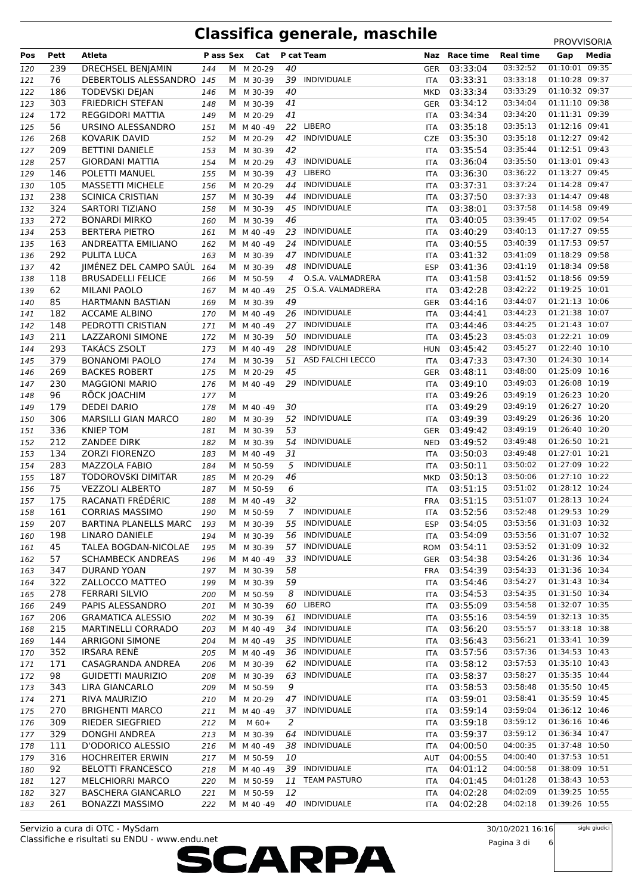| Pos | Pett | Atleta                     | P ass Sex |   | Cat        |                | P cat Team          | Naz        | Race time | <b>Real time</b> | Gap            | Media |
|-----|------|----------------------------|-----------|---|------------|----------------|---------------------|------------|-----------|------------------|----------------|-------|
|     |      |                            |           |   |            |                |                     |            |           |                  |                | 09:35 |
| 120 | 239  | DRECHSEL BENJAMIN          | 144       | М | M 20-29    | 40             |                     | <b>GER</b> | 03:33:04  | 03:32:52         | 01:10:01       |       |
| 121 | 76   | DEBERTOLIS ALESSANDRO 145  |           | M | M 30-39    | 39             | <b>INDIVIDUALE</b>  | ITA        | 03:33:31  | 03:33:18         | 01:10:28 09:37 |       |
| 122 | 186  | <b>TODEVSKI DEJAN</b>      | 146       |   | M M 30-39  | 40             |                     | <b>MKD</b> | 03:33:34  | 03:33:29         | 01:10:32 09:37 |       |
| 123 | 303  | <b>FRIEDRICH STEFAN</b>    | 148       |   | M M 30-39  | 41             |                     | GER        | 03:34:12  | 03:34:04         | 01:11:10 09:38 |       |
| 124 | 172  | <b>REGGIDORI MATTIA</b>    | 149       |   | M M 20-29  | 41             |                     | ITA        | 03:34:34  | 03:34:20         | 01:11:31 09:39 |       |
| 125 | 56   | URSINO ALESSANDRO          | 151       |   | M M 40-49  | 22             | LIBERO              | ITA        | 03:35:18  | 03:35:13         | 01:12:16 09:41 |       |
| 126 | 268  | KOVARIK DAVID              | 152       |   | M M 20-29  | 42             | INDIVIDUALE         | <b>CZE</b> | 03:35:30  | 03:35:18         | 01:12:27 09:42 |       |
| 127 | 209  | <b>BETTINI DANIELE</b>     | 153       | M | M 30-39    | 42             |                     | ITA        | 03:35:54  | 03:35:44         | 01:12:51 09:43 |       |
| 128 | 257  | <b>GIORDANI MATTIA</b>     | 154       | M | M 20-29    | 43             | INDIVIDUALE         | <b>ITA</b> | 03:36:04  | 03:35:50         | 01:13:01 09:43 |       |
| 129 | 146  | POLETTI MANUEL             | 155       |   | M M 30-39  | 43             | LIBERO              | ITA        | 03:36:30  | 03:36:22         | 01:13:27 09:45 |       |
| 130 | 105  | <b>MASSETTI MICHELE</b>    | 156       | M | M 20-29    | 44             | <b>INDIVIDUALE</b>  | ITA        | 03:37:31  | 03:37:24         | 01:14:28 09:47 |       |
| 131 | 238  | <b>SCINICA CRISTIAN</b>    | 157       | M | M 30-39    | 44             | INDIVIDUALE         | ITA        | 03:37:50  | 03:37:33         | 01:14:47 09:48 |       |
| 132 | 324  | <b>SARTORI TIZIANO</b>     | 158       | M | M 30-39    | 45             | <b>INDIVIDUALE</b>  | <b>ITA</b> | 03:38:01  | 03:37:58         | 01:14:58 09:49 |       |
| 133 | 272  | <b>BONARDI MIRKO</b>       | 160       | M | M 30-39    | 46             |                     | ITA        | 03:40:05  | 03:39:45         | 01:17:02 09:54 |       |
| 134 | 253  | <b>BERTERA PIETRO</b>      | 161       |   | M M 40-49  | 23             | INDIVIDUALE         | <b>ITA</b> | 03:40:29  | 03:40:13         | 01:17:27 09:55 |       |
| 135 | 163  | ANDREATTA EMILIANO         | 162       |   | M M 40-49  | 24             | <b>INDIVIDUALE</b>  | ITA        | 03:40:55  | 03:40:39         | 01:17:53 09:57 |       |
| 136 | 292  | PULITA LUCA                | 163       |   | M M 30-39  | 47             | INDIVIDUALE         | <b>ITA</b> | 03:41:32  | 03:41:09         | 01:18:29 09:58 |       |
| 137 | 42   | JIMÉNEZ DEL CAMPO SAÚL 164 |           |   | M M 30-39  | 48             | INDIVIDUALE         | <b>ESP</b> | 03:41:36  | 03:41:19         | 01:18:34 09:58 |       |
| 138 | 118  | <b>BRUSADELLI FELICE</b>   | 166       |   | M M 50-59  | $\overline{4}$ | O.S.A. VALMADRERA   | <b>ITA</b> | 03:41:58  | 03:41:52         | 01:18:56 09:59 |       |
| 139 | 62   | <b>MILANI PAOLO</b>        | 167       |   | M M 40-49  | 25             | O.S.A. VALMADRERA   | <b>ITA</b> | 03:42:28  | 03:42:22         | 01:19:25 10:01 |       |
| 140 | 85   | HARTMANN BASTIAN           | 169       |   | M M 30-39  | 49             |                     | GER        | 03:44:16  | 03:44:07         | 01:21:13 10:06 |       |
| 141 | 182  | <b>ACCAME ALBINO</b>       | 170       |   | M M 40-49  | 26             | INDIVIDUALE         | ITA        | 03:44:41  | 03:44:23         | 01:21:38 10:07 |       |
|     | 148  | PEDROTTI CRISTIAN          |           |   | M M 40-49  | 27             | <b>INDIVIDUALE</b>  |            | 03:44:46  | 03:44:25         | 01:21:43 10:07 |       |
| 142 | 211  | LAZZARONI SIMONE           | 171       |   | M M 30-39  | 50             | INDIVIDUALE         | <b>ITA</b> | 03:45:23  | 03:45:03         | 01:22:21 10:09 |       |
| 143 | 293  | <b>TAKÁCS ZSOLT</b>        | 172       |   | M M 40-49  | 28             | INDIVIDUALE         | <b>ITA</b> | 03:45:42  | 03:45:27         | 01:22:40 10:10 |       |
| 144 | 379  | <b>BONANOMI PAOLO</b>      | 173       | M | M 30-39    | 51             | ASD FALCHI LECCO    | HUN        | 03:47:33  | 03:47:30         | 01:24:30 10:14 |       |
| 145 | 269  | <b>BACKES ROBERT</b>       | 174       |   | M M 20-29  | 45             |                     | ITA        | 03:48:11  | 03:48:00         | 01:25:09 10:16 |       |
| 146 | 230  | <b>MAGGIONI MARIO</b>      | 175       |   |            | 29             | INDIVIDUALE         | GER        | 03:49:10  | 03:49:03         | 01:26:08 10:19 |       |
| 147 |      |                            | 176       | M | M M 40-49  |                |                     | ITA        |           | 03:49:19         | 01:26:23 10:20 |       |
| 148 | 96   | RÖCK JOACHIM               | 177       |   |            |                |                     | ITA        | 03:49:26  | 03:49:19         | 01:26:27 10:20 |       |
| 149 | 179  | <b>DEDEI DARIO</b>         | 178       |   | M M 40-49  | 30             |                     | ITA        | 03:49:29  |                  |                |       |
| 150 | 306  | <b>MARSILLI GIAN MARCO</b> | 180       |   | M M 30-39  | 52             | INDIVIDUALE         | <b>ITA</b> | 03:49:39  | 03:49:29         | 01:26:36 10:20 |       |
| 151 | 336  | <b>KNIEP TOM</b>           | 181       | М | M 30-39    | 53             |                     | GER        | 03:49:42  | 03:49:19         | 01:26:40 10:20 |       |
| 152 | 212  | ZANDEE DIRK                | 182       |   | M M 30-39  | 54             | INDIVIDUALE         | <b>NED</b> | 03:49:52  | 03:49:48         | 01:26:50 10:21 |       |
| 153 | 134  | <b>ZORZI FIORENZO</b>      | 183       |   | M M 40-49  | 31             |                     | ITA        | 03:50:03  | 03:49:48         | 01:27:01 10:21 |       |
| 154 | 283  | <b>MAZZOLA FABIO</b>       | 184       |   | M M 50-59  | 5              | <b>INDIVIDUALE</b>  | <b>ITA</b> | 03:50:11  | 03:50:02         | 01:27:09 10:22 |       |
| 155 | 187  | <b>TODOROVSKI DIMITAR</b>  | 185       |   | M M 20-29  | 46             |                     | <b>MKD</b> | 03:50:13  | 03:50:06         | 01:27:10 10:22 |       |
| 156 | 75   | <b>VEZZOLI ALBERTO</b>     | 187       |   | M M 50-59  | 6              |                     | <b>ITA</b> | 03:51:15  | 03:51:02         | 01:28:12 10:24 |       |
| 157 | 175  | RACANATI FRÉDÉRIC          | 188       |   | M M 40-49  | 32             |                     | FRA        | 03:51:15  | 03:51:07         | 01:28:13 10:24 |       |
| 158 | 161  | <b>CORRIAS MASSIMO</b>     | 190       |   | M M 50-59  | $\overline{7}$ | INDIVIDUALE         | <b>ITA</b> | 03:52:56  | 03:52:48         | 01:29:53 10:29 |       |
| 159 | 207  | BARTINA PLANELLS MARC      | 193       |   | M M 30-39  | 55             | INDIVIDUALE         | <b>ESP</b> | 03:54:05  | 03:53:56         | 01:31:03 10:32 |       |
| 160 | 198  | LINARO DANIELE             | 194       |   | M M 30-39  | 56             | <b>INDIVIDUALE</b>  | ITA        | 03:54:09  | 03:53:56         | 01:31:07 10:32 |       |
| 161 | 45   | TALEA BOGDAN-NICOLAE       | 195       |   | M M 30-39  | 57             | INDIVIDUALE         | ROM        | 03:54:11  | 03:53:52         | 01:31:09 10:32 |       |
| 162 | 57   | <b>SCHAMBECK ANDREAS</b>   | 196       |   | M M 40-49  | 33             | INDIVIDUALE         | GER        | 03:54:38  | 03:54:26         | 01:31:36 10:34 |       |
| 163 | 347  | DURAND YOAN                | 197       |   | M M 30-39  | 58             |                     | FRA        | 03:54:39  | 03:54:33         | 01:31:36 10:34 |       |
| 164 | 322  | ZALLOCCO MATTEO            | 199       |   | M M 30-39  | 59             |                     | ITA        | 03:54:46  | 03:54:27         | 01:31:43 10:34 |       |
| 165 | 278  | <b>FERRARI SILVIO</b>      | 200       |   | M M 50-59  | 8              | INDIVIDUALE         | ITA        | 03:54:53  | 03:54:35         | 01:31:50 10:34 |       |
| 166 | 249  | PAPIS ALESSANDRO           | 201       |   | M M 30-39  | 60             | LIBERO              | ITA        | 03:55:09  | 03:54:58         | 01:32:07 10:35 |       |
| 167 | 206  | <b>GRAMATICA ALESSIO</b>   | 202       |   | M M 30-39  | 61             | INDIVIDUALE         | <b>ITA</b> | 03:55:16  | 03:54:59         | 01:32:13 10:35 |       |
| 168 | 215  | <b>MARTINELLI CORRADO</b>  | 203       |   | M M 40-49  | 34             | INDIVIDUALE         | ITA        | 03:56:20  | 03:55:57         | 01:33:18 10:38 |       |
| 169 | 144  | <b>ARRIGONI SIMONE</b>     | 204       |   | M M 40-49  | 35             | INDIVIDUALE         | ITA        | 03:56:43  | 03:56:21         | 01:33:41 10:39 |       |
| 170 | 352  | <b>IRSARA RENE</b>         | 205       |   | M M 40-49  | 36             | INDIVIDUALE         | ITA        | 03:57:56  | 03:57:36         | 01:34:53 10:43 |       |
| 171 | 171  | CASAGRANDA ANDREA          | 206       |   | M M 30-39  | 62             | INDIVIDUALE         | ITA        | 03:58:12  | 03:57:53         | 01:35:10 10:43 |       |
| 172 | 98   | <b>GUIDETTI MAURIZIO</b>   | 208       |   | M M 30-39  | 63             | <b>INDIVIDUALE</b>  | <b>ITA</b> | 03:58:37  | 03:58:27         | 01:35:35 10:44 |       |
| 173 | 343  | LIRA GIANCARLO             | 209       |   | M M 50-59  | 9              |                     | ITA        | 03:58:53  | 03:58:48         | 01:35:50 10:45 |       |
| 174 | 271  | RIVA MAURIZIO              | 210       |   | M M 20-29  | 47             | INDIVIDUALE         | ITA        | 03:59:01  | 03:58:41         | 01:35:59 10:45 |       |
| 175 | 270  | <b>BRIGHENTI MARCO</b>     | 211       |   | M M 40-49  | 37             | INDIVIDUALE         | <b>ITA</b> | 03:59:14  | 03:59:04         | 01:36:12 10:46 |       |
| 176 | 309  | RIEDER SIEGFRIED           | 212       | M | $M_60+$    | 2              |                     | ITA.       | 03:59:18  | 03:59:12         | 01:36:16 10:46 |       |
| 177 | 329  | DONGHI ANDREA              | 213       |   | M M 30-39  | 64             | <b>INDIVIDUALE</b>  | ITA        | 03:59:37  | 03:59:12         | 01:36:34 10:47 |       |
| 178 | 111  | D'ODORICO ALESSIO          | 216       |   | M M 40-49  | 38             | INDIVIDUALE         | ITA        | 04:00:50  | 04:00:35         | 01:37:48 10:50 |       |
| 179 | 316  | <b>HOCHREITER ERWIN</b>    | 217       |   | M M 50-59  | 10             |                     | AUT        | 04:00:55  | 04:00:40         | 01:37:53 10:51 |       |
| 180 | 92   | <b>BELOTTI FRANCESCO</b>   | 218       |   | M M 40-49  | 39             | INDIVIDUALE         | ITA        | 04:01:12  | 04:00:58         | 01:38:09 10:51 |       |
| 181 | 127  | <b>MELCHIORRI MARCO</b>    | 220       |   | M M 50-59  | 11             | <b>TEAM PASTURO</b> | ITA        | 04:01:45  | 04:01:28         | 01:38:43 10:53 |       |
| 182 | 327  | <b>BASCHERA GIANCARLO</b>  | 221       |   | M M 50-59  | 12             |                     | ITA        | 04:02:28  | 04:02:09         | 01:39:25 10:55 |       |
| 183 | 261  | <b>BONAZZI MASSIMO</b>     | 222       |   | M M 40 -49 | 40             | INDIVIDUALE         | ITA        | 04:02:28  | 04:02:18         | 01:39:26 10:55 |       |

Classifiche e risultati su ENDU - www.endu.net Servizio a cura di OTC - MySdam

30/10/2021 16:16

Pagina 3 di 6

sigle giudici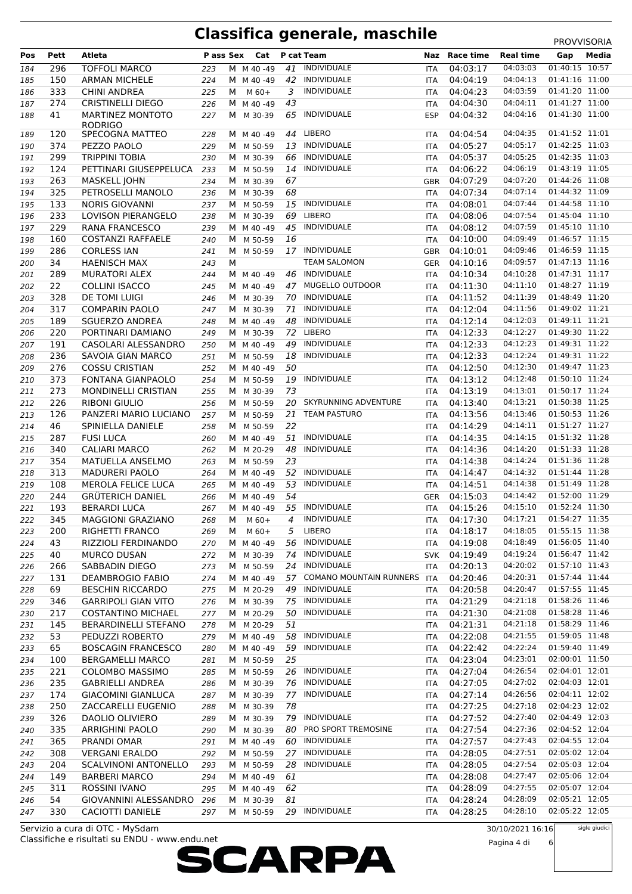### **Classifica generale, maschile**

|     |      |                             |           |   |           |    |                                |            |               |                  | <b>PROVVISORIA</b> |       |
|-----|------|-----------------------------|-----------|---|-----------|----|--------------------------------|------------|---------------|------------------|--------------------|-------|
| Pos | Pett | Atleta                      | P ass Sex |   | Cat       |    | P cat Team                     |            | Naz Race time | <b>Real time</b> | Gap                | Media |
| 184 | 296  | <b>TOFFOLI MARCO</b>        | 223       |   | M M 40-49 | 41 | <b>INDIVIDUALE</b>             | ITA        | 04:03:17      | 04:03:03         | 01:40:15 10:57     |       |
| 185 | 150  | <b>ARMAN MICHELE</b>        | 224       |   | M M 40-49 | 42 | INDIVIDUALE                    | ITA        | 04:04:19      | 04:04:13         | 01:41:16 11:00     |       |
| 186 | 333  | <b>CHINI ANDREA</b>         | 225       | м | $M$ 60+   | 3  | <b>INDIVIDUALE</b>             | <b>ITA</b> | 04:04:23      | 04:03:59         | 01:41:20 11:00     |       |
| 187 | 274  | <b>CRISTINELLI DIEGO</b>    | 226       |   | M M 40-49 | 43 |                                | ITA        | 04:04:30      | 04:04:11         | 01:41:27 11:00     |       |
| 188 | 41   | <b>MARTINEZ MONTOTO</b>     | 227       | M | M 30-39   | 65 | INDIVIDUALE                    | <b>ESP</b> | 04:04:32      | 04:04:16         | 01:41:30 11:00     |       |
|     |      | <b>RODRIGO</b>              |           |   |           |    |                                |            |               |                  |                    |       |
| 189 | 120  | SPECOGNA MATTEO             | 228       |   | M M 40-49 | 44 | LIBERO                         | <b>ITA</b> | 04:04:54      | 04:04:35         | 01:41:52 11:01     |       |
| 190 | 374  | PEZZO PAOLO                 | 229       |   | M M 50-59 | 13 | <b>INDIVIDUALE</b>             | <b>ITA</b> | 04:05:27      | 04:05:17         | 01:42:25 11:03     |       |
| 191 | 299  | <b>TRIPPINI TOBIA</b>       | 230       |   | M M 30-39 | 66 | INDIVIDUALE                    | ITA        | 04:05:37      | 04:05:25         | 01:42:35 11:03     |       |
| 192 | 124  | PETTINARI GIUSEPPELUCA      | 233       |   | M M 50-59 | 14 | <b>INDIVIDUALE</b>             | ITA        | 04:06:22      | 04:06:19         | 01:43:19 11:05     |       |
| 193 | 263  | <b>MASKELL JOHN</b>         | 234       |   | M M 30-39 | 67 |                                | GBR        | 04:07:29      | 04:07:20         | 01:44:26 11:08     |       |
| 194 | 325  | PETROSELLI MANOLO           | 236       | M | M 30-39   | 68 |                                | ITA        | 04:07:34      | 04:07:14         | 01:44:32 11:09     |       |
| 195 | 133  | <b>NORIS GIOVANNI</b>       | 237       | M | M 50-59   | 15 | INDIVIDUALE                    | ITA        | 04:08:01      | 04:07:44         | 01:44:58 11:10     |       |
| 196 | 233  | LOVISON PIERANGELO          | 238       |   | M M 30-39 | 69 | <b>LIBERO</b>                  | <b>ITA</b> | 04:08:06      | 04:07:54         | 01:45:04 11:10     |       |
| 197 | 229  | <b>RANA FRANCESCO</b>       | 239       |   | M M 40-49 | 45 | <b>INDIVIDUALE</b>             | ITA        | 04:08:12      | 04:07:59         | 01:45:10 11:10     |       |
| 198 | 160  | <b>COSTANZI RAFFAELE</b>    | 240       | M | M 50-59   | 16 |                                | <b>ITA</b> | 04:10:00      | 04:09:49         | 01:46:57 11:15     |       |
| 199 | 286  | <b>CORLESS IAN</b>          | 241       | M | M 50-59   |    | 17 INDIVIDUALE                 | GBR        | 04:10:01      | 04:09:46         | 01:46:59 11:15     |       |
| 200 | 34   | <b>HAENISCH MAX</b>         | 243       | M |           |    | <b>TEAM SALOMON</b>            | GER        | 04:10:16      | 04:09:57         | 01:47:13 11:16     |       |
| 201 | 289  | <b>MURATORI ALEX</b>        | 244       |   | M M 40-49 | 46 | INDIVIDUALE                    | <b>ITA</b> | 04:10:34      | 04:10:28         | 01:47:31 11:17     |       |
| 202 | 22   | <b>COLLINI ISACCO</b>       | 245       |   | M M 40-49 | 47 | MUGELLO OUTDOOR                | <b>ITA</b> | 04:11:30      | 04:11:10         | 01:48:27 11:19     |       |
| 203 | 328  | <b>DE TOMI LUIGI</b>        | 246       |   | M M 30-39 | 70 | <b>INDIVIDUALE</b>             | ITA        | 04:11:52      | 04:11:39         | 01:48:49 11:20     |       |
| 204 | 317  | <b>COMPARIN PAOLO</b>       | 247       | М | M 30-39   | 71 | <b>INDIVIDUALE</b>             | ITA        | 04:12:04      | 04:11:56         | 01:49:02 11:21     |       |
| 205 | 189  | <b>SGUERZO ANDREA</b>       | 248       |   | M M 40-49 | 48 | <b>INDIVIDUALE</b>             | ITA        | 04:12:14      | 04:12:03         | 01:49:11 11:21     |       |
| 206 | 220  | PORTINARI DAMIANO           | 249       |   | M M 30-39 | 72 | LIBERO                         | ITA        | 04:12:33      | 04:12:27         | 01:49:30 11:22     |       |
| 207 | 191  | CASOLARI ALESSANDRO         | 250       |   | M M 40-49 | 49 | <b>INDIVIDUALE</b>             | ITA        | 04:12:33      | 04:12:23         | 01:49:31 11:22     |       |
| 208 | 236  | SAVOIA GIAN MARCO           | 251       |   | M M 50-59 | 18 | <b>INDIVIDUALE</b>             | <b>ITA</b> | 04:12:33      | 04:12:24         | 01:49:31 11:22     |       |
| 209 | 276  | <b>COSSU CRISTIAN</b>       | 252       |   | M M 40-49 | 50 |                                | ITA        | 04:12:50      | 04:12:30         | 01:49:47 11:23     |       |
| 210 | 373  | FONTANA GIANPAOLO           | 254       |   | M M 50-59 | 19 | INDIVIDUALE                    | ITA        | 04:13:12      | 04:12:48         | 01:50:10 11:24     |       |
| 211 | 273  | MONDINELLI CRISTIAN         | 255       |   | M M 30-39 | 73 |                                | ITA        | 04:13:19      | 04:13:01         | 01:50:17 11:24     |       |
| 212 | 226  | <b>RIBONI GIULIO</b>        | 256       |   | M M 50-59 | 20 | SKYRUNNING ADVENTURE           | <b>ITA</b> | 04:13:40      | 04:13:21         | 01:50:38 11:25     |       |
| 213 | 126  | PANZERI MARIO LUCIANO       | 257       | M | M 50-59   | 21 | <b>TEAM PASTURO</b>            | ITA        | 04:13:56      | 04:13:46         | 01:50:53 11:26     |       |
| 214 | 46   | SPINIELLA DANIELE           | 258       |   | M M 50-59 | 22 |                                | ITA        | 04:14:29      | 04:14:11         | 01:51:27 11:27     |       |
| 215 | 287  | <b>FUSI LUCA</b>            | 260       |   | M M 40-49 | 51 | <b>INDIVIDUALE</b>             | ITA        | 04:14:35      | 04:14:15         | 01:51:32 11:28     |       |
| 216 | 340  | <b>CALIARI MARCO</b>        | 262       |   | M M 20-29 | 48 | <b>INDIVIDUALE</b>             | ITA        | 04:14:36      | 04:14:20         | 01:51:33 11:28     |       |
| 217 | 354  | MATUELLA ANSELMO            | 263       | M | M 50-59   | 23 |                                | <b>ITA</b> | 04:14:38      | 04:14:24         | 01:51:36 11:28     |       |
| 218 | 313  | <b>MADURERI PAOLO</b>       | 264       |   | M M 40-49 | 52 | INDIVIDUALE                    | ITA        | 04:14:47      | 04:14:32         | 01:51:44 11:28     |       |
| 219 | 108  | <b>MEROLA FELICE LUCA</b>   | 265       |   | M M 40-49 | 53 | <b>INDIVIDUALE</b>             | ITA        | 04:14:51      | 04:14:38         | 01:51:49 11:28     |       |
| 220 | 244  | <b>GRUTERICH DANIEL</b>     | 266       |   | M M 40-49 | 54 |                                | <b>GER</b> | 04:15:03      | 04:14:42         | 01:52:00 11:29     |       |
| 221 | 193  | <b>BERARDI LUCA</b>         | 267       |   | M M 40-49 | 55 | INDIVIDUALE                    | ITA        | 04:15:26      | 04:15:10         | 01:52:24 11:30     |       |
| 222 | 345  | <b>MAGGIONI GRAZIANO</b>    | 268       | М | M 60+     | 4  | INDIVIDUALE                    | ITA        | 04:17:30      | 04:17:21         | 01:54:27 11:35     |       |
| 223 | 200  | RIGHETTI FRANCO             | 269       | м | $M$ 60+   | 5  | <b>LIBERO</b>                  | ITA        | 04:18:17      | 04:18:05         | 01:55:15 11:38     |       |
| 224 | 43   | RIZZIOLI FERDINANDO         | 270       |   | M M 40-49 | 56 | <b>INDIVIDUALE</b>             | ITA        | 04:19:08      | 04:18:49         | 01:56:05 11:40     |       |
| 225 | 40   | <b>MURCO DUSAN</b>          | 272       |   | M M 30-39 | 74 | <b>INDIVIDUALE</b>             | SVK        | 04:19:49      | 04:19:24         | 01:56:47 11:42     |       |
| 226 | 266  | SABBADIN DIEGO              | 273       |   | M M 50-59 | 24 | INDIVIDUALE                    | ITA        | 04:20:13      | 04:20:02         | 01:57:10 11:43     |       |
| 227 | 131  | <b>DEAMBROGIO FABIO</b>     | 274       |   | M M 40-49 | 57 | <b>COMANO MOUNTAIN RUNNERS</b> | <b>ITA</b> | 04:20:46      | 04:20:31         | 01:57:44 11:44     |       |
| 228 | 69   | <b>BESCHIN RICCARDO</b>     | 275       |   | M M 20-29 | 49 | <b>INDIVIDUALE</b>             | ITA        | 04:20:58      | 04:20:47         | 01:57:55 11:45     |       |
| 229 | 346  | <b>GARRIPOLI GIAN VITO</b>  | 276       |   | M M 30-39 | 75 | INDIVIDUALE                    | ITA.       | 04:21:29      | 04:21:18         | 01:58:26 11:46     |       |
| 230 | 217  | <b>COSTANTINO MICHAEL</b>   | 277       |   | M M 20-29 | 50 | INDIVIDUALE                    | ITA.       | 04:21:30      | 04:21:08         | 01:58:28 11:46     |       |
| 231 | 145  | <b>BERARDINELLI STEFANO</b> | 278       |   | M M 20-29 | 51 |                                | ITA        | 04:21:31      | 04:21:18         | 01:58:29 11:46     |       |
| 232 | 53   | PEDUZZI ROBERTO             | 279       |   | M M 40-49 | 58 | INDIVIDUALE                    | ITA        | 04:22:08      | 04:21:55         | 01:59:05 11:48     |       |
| 233 | 65   | <b>BOSCAGIN FRANCESCO</b>   | 280       |   | M M 40-49 | 59 | INDIVIDUALE                    | ITA        | 04:22:42      | 04:22:24         | 01:59:40 11:49     |       |
| 234 | 100  | <b>BERGAMELLI MARCO</b>     | 281       |   | M M 50-59 | 25 |                                | ITA        | 04:23:04      | 04:23:01         | 02:00:01 11:50     |       |
| 235 | 221  | <b>COLOMBO MASSIMO</b>      | 285       |   | M M 50-59 | 26 | INDIVIDUALE                    | ITA        | 04:27:04      | 04:26:54         | 02:04:01 12:01     |       |
| 236 | 235  | <b>GABRIELLI ANDREA</b>     | 286       |   | M M 30-39 | 76 | INDIVIDUALE                    | ITA        | 04:27:05      | 04:27:02         | 02:04:03 12:01     |       |
| 237 | 174  | <b>GIACOMINI GIANLUCA</b>   | 287       |   | M M 30-39 | 77 | INDIVIDUALE                    | ITA        | 04:27:14      | 04:26:56         | 02:04:11 12:02     |       |
| 238 | 250  | ZACCARELLI EUGENIO          | 288       |   | M M 30-39 | 78 |                                | ITA        | 04:27:25      | 04:27:18         | 02:04:23 12:02     |       |
| 239 | 326  | DAOLIO OLIVIERO             | 289       |   | M M 30-39 | 79 | INDIVIDUALE                    | ITA        | 04:27:52      | 04:27:40         | 02:04:49 12:03     |       |
| 240 | 335  | <b>ARRIGHINI PAOLO</b>      | 290       |   | M M 30-39 | 80 | PRO SPORT TREMOSINE            | ITA        | 04:27:54      | 04:27:36         | 02:04:52 12:04     |       |
| 241 | 365  | PRANDI OMAR                 | 291       |   | M M 40-49 | 60 | INDIVIDUALE                    | ITA        | 04:27:57      | 04:27:43         | 02:04:55 12:04     |       |
| 242 | 308  | <b>VERGANI ERALDO</b>       | 292       |   | M M 50-59 | 27 | INDIVIDUALE                    | ITA        | 04:28:05      | 04:27:51         | 02:05:02 12:04     |       |
| 243 | 204  | <b>SCALVINONI ANTONELLO</b> | 293       |   | M M 50-59 | 28 | <b>INDIVIDUALE</b>             | ITA        | 04:28:05      | 04:27:54         | 02:05:03 12:04     |       |
| 244 | 149  | <b>BARBERI MARCO</b>        | 294       |   | M M 40-49 | 61 |                                | ITA        | 04:28:08      | 04:27:47         | 02:05:06 12:04     |       |
| 245 | 311  | <b>ROSSINI IVANO</b>        | 295       |   | M M 40-49 | 62 |                                | ITA        | 04:28:09      | 04:27:55         | 02:05:07 12:04     |       |
| 246 | 54   | GIOVANNINI ALESSANDRO       | 296       |   | M M 30-39 | 81 |                                | ITA        | 04:28:24      | 04:28:09         | 02:05:21 12:05     |       |
| 247 | 330  | CACIOTTI DANIELE            | 297       |   | M M 50-59 |    | 29 INDIVIDUALE                 | ITA        | 04:28:25      | 04:28:10         | 02:05:22 12:05     |       |

Classifiche e risultati su ENDU - www.endu.net Servizio a cura di OTC - MySdam



30/10/2021 16:16 Pagina 4 di 6 sigle giudici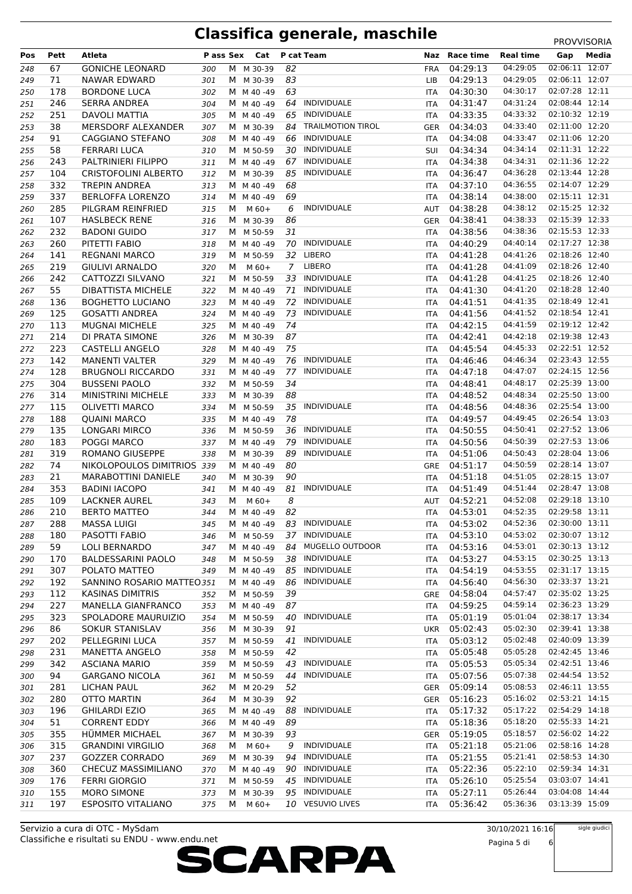| Pos | Pett | Atleta                      | P ass Sex |   | Cat       |                | P cat Team               | Naz        | Race time    | <b>Real time</b> | Gap                              | Media |
|-----|------|-----------------------------|-----------|---|-----------|----------------|--------------------------|------------|--------------|------------------|----------------------------------|-------|
|     |      |                             |           |   |           |                |                          |            |              | 04:29:05         | 02:06:11 12:07                   |       |
| 248 | 67   | <b>GONICHE LEONARD</b>      | 300       |   | M M 30-39 | 82             |                          | <b>FRA</b> | 04:29:13     |                  | 02:06:11 12:07                   |       |
| 249 | 71   | <b>NAWAR EDWARD</b>         | 301       |   | M M 30-39 | 83             |                          | <b>LIB</b> | 04:29:13     | 04:29:05         |                                  |       |
| 250 | 178  | <b>BORDONE LUCA</b>         | 302       |   | M M 40-49 | 63             |                          | ITA        | 04:30:30     | 04:30:17         | 02:07:28 12:11<br>02:08:44 12:14 |       |
| 251 | 246  | <b>SERRA ANDREA</b>         | 304       |   | M M 40-49 | 64             | <b>INDIVIDUALE</b>       | <b>ITA</b> | 04:31:47     | 04:31:24         |                                  |       |
| 252 | 251  | DAVOLI MATTIA               | 305       |   | M M 40-49 | 65             | INDIVIDUALE              | <b>ITA</b> | 04:33:35     | 04:33:32         | 02:10:32 12:19                   |       |
| 253 | 38   | MERSDORF ALEXANDER          | 307       |   | M M 30-39 | 84             | <b>TRAILMOTION TIROL</b> | GER        | 04:34:03     | 04:33:40         | 02:11:00 12:20                   |       |
| 254 | 91   | <b>CAGGIANO STEFANO</b>     | 308       |   | M M 40-49 | 66             | INDIVIDUALE              | <b>ITA</b> | 04:34:08     | 04:33:47         | 02:11:06 12:20                   |       |
| 255 | 58   | FERRARI LUCA                | 310       |   | M M 50-59 | 30             | <b>INDIVIDUALE</b>       | <b>SUI</b> | 04:34:34     | 04:34:14         | 02:11:31 12:22                   |       |
| 256 | 243  | PALTRINIERI FILIPPO         | 311       |   | M M 40-49 | 67             | INDIVIDUALE              | ITA        | 04:34:38     | 04:34:31         | 02:11:36 12:22                   |       |
| 257 | 104  | <b>CRISTOFOLINI ALBERTO</b> | 312       |   | M M 30-39 | 85             | INDIVIDUALE              | ITA        | 04:36:47     | 04:36:28         | 02:13:44 12:28                   |       |
| 258 | 332  | <b>TREPIN ANDREA</b>        | 313       |   | M M 40-49 | 68             |                          | ITA        | 04:37:10     | 04:36:55         | 02:14:07 12:29                   |       |
| 259 | 337  | <b>BERLOFFA LORENZO</b>     | 314       |   | M M 40-49 | 69             |                          | ITA        | 04:38:14     | 04:38:00         | 02:15:11 12:31                   |       |
| 260 | 285  | PILGRAM REINFRIED           | 315       | М | $M$ 60+   | 6              | INDIVIDUALE              | AUT        | 04:38:28     | 04:38:12         | 02:15:25 12:32                   |       |
| 261 | 107  | <b>HASLBECK RENE</b>        | 316       | М | M 30-39   | 86             |                          | GER        | 04:38:41     | 04:38:33         | 02:15:39 12:33                   |       |
| 262 | 232  | <b>BADONI GUIDO</b>         | 317       |   | M M 50-59 | 31             |                          | ITA        | 04:38:56     | 04:38:36         | 02:15:53 12:33                   |       |
| 263 | 260  | PITETTI FABIO               | 318       |   | M M 40-49 | 70             | <b>INDIVIDUALE</b>       | ITA        | 04:40:29     | 04:40:14         | 02:17:27 12:38                   |       |
| 264 | 141  | <b>REGNANI MARCO</b>        | 319       |   | M M 50-59 | 32             | LIBERO                   | ITA        | 04:41:28     | 04:41:26         | 02:18:26 12:40                   |       |
| 265 | 219  | <b>GIULIVI ARNALDO</b>      | 320       | м | $M$ 60+   | $\overline{7}$ | <b>LIBERO</b>            | ITA        | 04:41:28     | 04:41:09         | 02:18:26 12:40                   |       |
| 266 | 242  | CATTOZZI SILVANO            | 321       |   | M M 50-59 | 33             | INDIVIDUALE              | ITA        | 04:41:28     | 04:41:25         | 02:18:26 12:40                   |       |
| 267 | 55   | <b>DIBATTISTA MICHELE</b>   | 322       |   | M M 40-49 | 71             | <b>INDIVIDUALE</b>       | ITA        | 04:41:30     | 04:41:20         | 02:18:28 12:40                   |       |
| 268 | 136  | <b>BOGHETTO LUCIANO</b>     | 323       |   | M M 40-49 | 72             | INDIVIDUALE              | ITA        | 04:41:51     | 04:41:35         | 02:18:49 12:41                   |       |
| 269 | 125  | <b>GOSATTI ANDREA</b>       | 324       |   | M M 40-49 | 73             | <b>INDIVIDUALE</b>       | ITA        | 04:41:56     | 04:41:52         | 02:18:54 12:41                   |       |
| 270 | 113  | <b>MUGNAI MICHELE</b>       | 325       |   | M M 40-49 | 74             |                          | ITA        | 04:42:15     | 04:41:59         | 02:19:12 12:42                   |       |
| 271 | 214  | DI PRATA SIMONE             | 326       |   | M M 30-39 | 87             |                          | ITA        | 04:42:41     | 04:42:18         | 02:19:38 12:43                   |       |
| 272 | 223  | CASTELLI ANGELO             | 328       |   | M M 40-49 | 75             |                          | ITA        | 04:45:54     | 04:45:33         | 02:22:51 12:52                   |       |
| 273 | 142  | <b>MANENTI VALTER</b>       | 329       |   | M M 40-49 | 76             | INDIVIDUALE              | ITA        | 04:46:46     | 04:46:34         | 02:23:43 12:55                   |       |
| 274 | 128  | <b>BRUGNOLI RICCARDO</b>    | 331       |   | M M 40-49 | 77             | INDIVIDUALE              | ITA        | 04:47:18     | 04:47:07         | 02:24:15 12:56                   |       |
| 275 | 304  | <b>BUSSENI PAOLO</b>        | 332       |   | M M 50-59 | 34             |                          | <b>ITA</b> | 04:48:41     | 04:48:17         | 02:25:39 13:00                   |       |
|     | 314  | MINISTRINI MICHELE          |           |   |           | 88             |                          |            | 04:48:52     | 04:48:34         | 02:25:50 13:00                   |       |
| 276 |      |                             | 333       |   | M M 30-39 |                | 35 INDIVIDUALE           | ITA        |              | 04:48:36         | 02:25:54 13:00                   |       |
| 277 | 115  | <b>OLIVETTI MARCO</b>       | 334       |   | M M 50-59 |                |                          | ITA        | 04:48:56     |                  |                                  |       |
| 278 | 188  | <b>QUAINI MARCO</b>         | 335       |   | M M 40-49 | 78             |                          | ITA        | 04:49:57     | 04:49:45         | 02:26:54 13:03                   |       |
| 279 | 135  | LONGARI MIRCO               | 336       |   | M M 50-59 | 36             | INDIVIDUALE              | ITA        | 04:50:55     | 04:50:41         | 02:27:52 13:06                   |       |
| 280 | 183  | POGGI MARCO                 | 337       |   | M M 40-49 | 79             | INDIVIDUALE              | ITA        | 04:50:56     | 04:50:39         | 02:27:53 13:06                   |       |
| 281 | 319  | ROMANO GIUSEPPE             | 338       |   | M M 30-39 | 89             | <b>INDIVIDUALE</b>       | ITA        | 04:51:06     | 04:50:43         | 02:28:04 13:06                   |       |
| 282 | 74   | NIKOLOPOULOS DIMITRIOS 339  |           |   | M M 40-49 | 80             |                          | GRE        | 04:51:17     | 04:50:59         | 02:28:14 13:07                   |       |
| 283 | 21   | <b>MARABOTTINI DANIELE</b>  | 340       |   | M M 30-39 | 90             |                          | ITA        | 04:51:18     | 04:51:05         | 02:28:15 13:07                   |       |
| 284 | 353  | <b>BADINI IACOPO</b>        | 341       |   | M M 40-49 | 81             | INDIVIDUALE              | ITA        | 04:51:49     | 04:51:44         | 02:28:47 13:08                   |       |
| 285 | 109  | LACKNER AUREL               | 343       | м | $M$ 60+   | 8              |                          | <b>AUT</b> | 04:52:21     | 04:52:08         | 02:29:18 13:10                   |       |
| 286 | 210  | <b>BERTO MATTEO</b>         | 344       |   | M M 40-49 | 82             |                          | ITA        | 04:53:01     | 04:52:35         | 02:29:58 13:11                   |       |
| 287 | 288  | MASSA LUIGI                 | 345       |   | M M 40-49 | 83             | INDIVIDUALE              | ITA        | 04:53:02     | 04:52:36         | 02:30:00 13:11                   |       |
| 288 | 180  | PASOTTI FABIO               | 346       |   | M M 50-59 | 37             | <b>INDIVIDUALE</b>       | ITA        | 04:53:10     | 04:53:02         | 02:30:07 13:12                   |       |
| 289 | 59   | <b>LOLI BERNARDO</b>        | 347       |   | M M 40-49 | 84             | MUGELLO OUTDOOR          | ITA        | 04:53:16     | 04:53:01         | 02:30:13 13:12                   |       |
| 290 | 170  | <b>BALDESSARINI PAOLO</b>   | 348       |   | M M 50-59 | 38             | INDIVIDUALE              | ITA        | 04:53:27     | 04:53:15         | 02:30:25 13:13                   |       |
| 291 | 307  | POLATO MATTEO               | 349       |   | M M 40-49 | 85             | INDIVIDUALE              | ITA        | 04:54:19     | 04:53:55         | 02:31:17 13:15                   |       |
| 292 | 192  | SANNINO ROSARIO MATTEO351   |           |   | M M 40-49 | 86             | INDIVIDUALE              | <b>ITA</b> | 04:56:40     | 04:56:30         | 02:33:37 13:21                   |       |
| 293 | 112  | <b>KASINAS DIMITRIS</b>     | 352       |   | M M 50-59 | 39             |                          | GRE        | 04:58:04     | 04:57:47         | 02:35:02 13:25                   |       |
| 294 | 227  | <b>MANELLA GIANFRANCO</b>   | 353       |   | M M 40-49 | 87             |                          | ITA        | 04:59:25     | 04:59:14         | 02:36:23 13:29                   |       |
| 295 | 323  | SPOLADORE MAURUIZIO         | 354       |   | M M 50-59 | 40             | INDIVIDUALE              | ITA        | 05:01:19     | 05:01:04         | 02:38:17 13:34                   |       |
| 296 | 86   | SOKUR STANISLAV             | 356       |   | M M 30-39 | 91             |                          |            | UKR 05:02:43 | 05:02:30         | 02:39:41 13:38                   |       |
| 297 | 202  | PELLEGRINI LUCA             | 357       |   | M M 50-59 | 41             | INDIVIDUALE              | ITA        | 05:03:12     | 05:02:48         | 02:40:09 13:39                   |       |
| 298 | 231  | MANETTA ANGELO              | 358       |   | M M 50-59 | 42             |                          | <b>ITA</b> | 05:05:48     | 05:05:28         | 02:42:45 13:46                   |       |
| 299 | 342  | <b>ASCIANA MARIO</b>        | 359       |   | M M 50-59 | 43             | INDIVIDUALE              | ITA        | 05:05:53     | 05:05:34         | 02:42:51 13:46                   |       |
| 300 | 94   | <b>GARGANO NICOLA</b>       | 361       |   | M M 50-59 | 44             | <b>INDIVIDUALE</b>       | ITA        | 05:07:56     | 05:07:38         | 02:44:54 13:52                   |       |
| 301 | 281  | LICHAN PAUL                 | 362       |   | M M 20-29 | 52             |                          |            | GER 05:09:14 | 05:08:53         | 02:46:11 13:55                   |       |
|     | 280  | <b>OTTO MARTIN</b>          |           |   | M M 30-39 | 92             |                          | GER        | 05:16:23     | 05:16:02         | 02:53:21 14:15                   |       |
| 302 |      |                             | 364       |   |           | 88             | <b>INDIVIDUALE</b>       |            |              | 05:17:22         | 02:54:29 14:18                   |       |
| 303 | 196  | <b>GHILARDI EZIO</b>        | 365       |   | M M 40-49 |                |                          | ITA        | 05:17:32     |                  | 02:55:33 14:21                   |       |
| 304 | 51   | <b>CORRENT EDDY</b>         | 366       |   | M M 40-49 | 89             |                          | ITA        | 05:18:36     | 05:18:20         |                                  |       |
| 305 | 355  | HÜMMER MICHAEL              | 367       |   | M M 30-39 | 93             |                          | GER        | 05:19:05     | 05:18:57         | 02:56:02 14:22                   |       |
| 306 | 315  | <b>GRANDINI VIRGILIO</b>    | 368       | м | $M$ 60+   | 9              | <b>INDIVIDUALE</b>       | <b>ITA</b> | 05:21:18     | 05:21:06         | 02:58:16 14:28                   |       |
| 307 | 237  | <b>GOZZER CORRADO</b>       | 369       |   | M M 30-39 | 94             | INDIVIDUALE              | ITA        | 05:21:55     | 05:21:41         | 02:58:53 14:30                   |       |
| 308 | 360  | CHECUZ MASSIMILIANO         | 370       |   | M M 40-49 | 90             | INDIVIDUALE              | ITA        | 05:22:36     | 05:22:10         | 02:59:34 14:31                   |       |
| 309 | 176  | <b>FERRI GIORGIO</b>        | 371       |   | M M 50-59 | 45             | INDIVIDUALE              | ITA        | 05:26:10     | 05:25:54         | 03:03:07 14:41                   |       |
| 310 | 155  | MORO SIMONE                 | 373       | M | M 30-39   | 95             | INDIVIDUALE              | ITA        | 05:27:11     | 05:26:44         | 03:04:08 14:44                   |       |
| 311 | 197  | <b>ESPOSITO VITALIANO</b>   | 375       | M | $M_60+$   |                | 10 VESUVIO LIVES         | ITA        | 05:36:42     | 05:36:36         | 03:13:39 15:09                   |       |

Classifiche e risultati su ENDU - www.endu.net Servizio a cura di OTC - MySdam

30/10/2021 16:16

sigle giudici

Pagina 5 di 6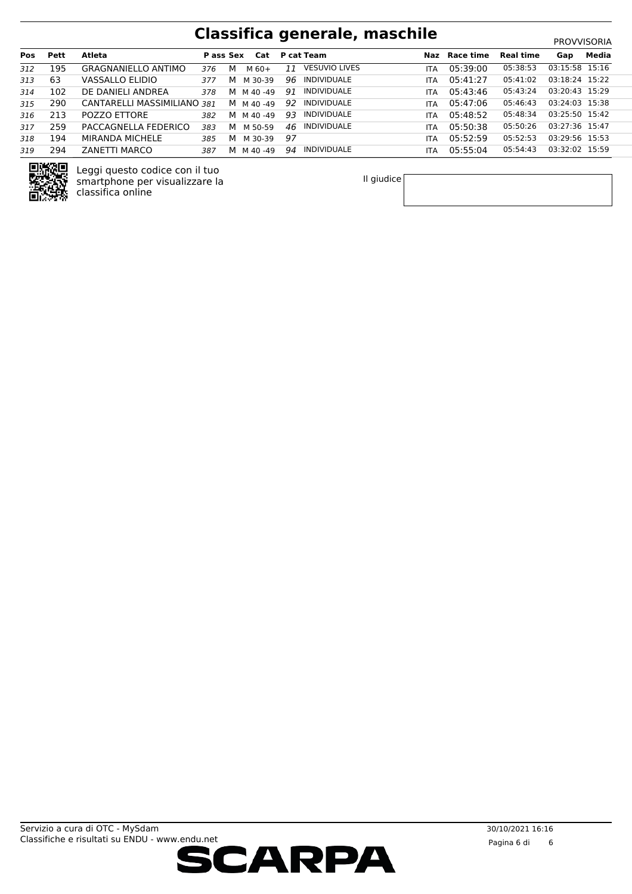| <b>Pos</b> | Pett | Atleta                      | <b>Pass Sex</b> |   | Cat       |     | <b>P</b> cat Team    | Naz        | Race time | <b>Real time</b> | Gap            | Media |
|------------|------|-----------------------------|-----------------|---|-----------|-----|----------------------|------------|-----------|------------------|----------------|-------|
| 312        | 195  | <b>GRAGNANIELLO ANTIMO</b>  | 376             | м | $M_60+$   | 11  | <b>VESUVIO LIVES</b> | <b>ITA</b> | 05:39:00  | 05:38:53         | 03:15:58 15:16 |       |
| 313        | 63   | VASSALLO ELIDIO             | 377             | M | M 30-39   | 96. | INDIVIDUALE          | <b>ITA</b> | 05:41:27  | 05:41:02         | 03:18:24 15:22 |       |
| 314        | 102  | DE DANIELI ANDREA           | 378             |   | M M 40-49 | 91  | <b>INDIVIDUALE</b>   | <b>ITA</b> | 05:43:46  | 05:43:24         | 03:20:43 15:29 |       |
| 315        | 290  | CANTARELLI MASSIMILIANO 381 |                 |   | M M 40-49 | 92. | INDIVIDUALE          | <b>ITA</b> | 05:47:06  | 05:46:43         | 03:24:03 15:38 |       |
| 316        | 213  | POZZO ETTORE                | 382             |   | M M 40-49 | 93  | INDIVIDUALE          | <b>ITA</b> | 05:48:52  | 05:48:34         | 03:25:50 15:42 |       |
| 317        | 259  | PACCAGNELLA FEDERICO        | 383             | M | M 50-59   | 46  | INDIVIDUALE          | <b>ITA</b> | 05:50:38  | 05:50:26         | 03:27:36 15:47 |       |
| 318        | 194  | MIRANDA MICHELE             | 385             | М | M 30-39   | 97  |                      | <b>ITA</b> | 05:52:59  | 05:52:53         | 03:29:56 15:53 |       |
| 319        | 294  | ZANETTI MARCO               | 387             |   | M M 40-49 | 94  | INDIVIDUALE          | <b>ITA</b> | 05:55:04  | 05:54:43         | 03:32:02 15:59 |       |



Leggi questo codice con il tuo smartphone per visualizzare la classifica online

Il giudice

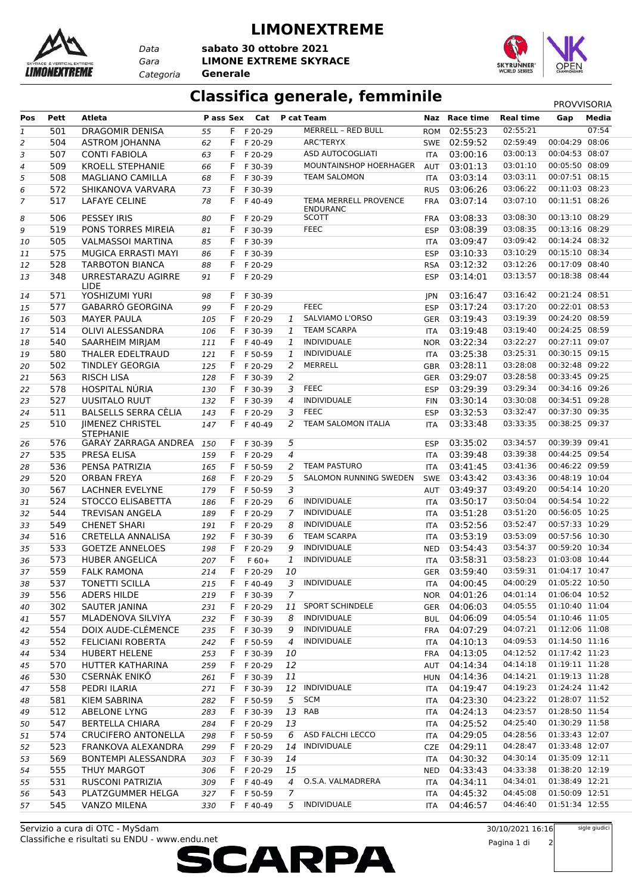

*Data Categoria* **Generale**

#### **LIMONEXTREME**

*Gara* **LIMONE EXTREME SKYRACE sabato 30 ottobre 2021**



### **Classifica generale, femminile** PROVVISORIA

| Pos            | Pett | <b>Atleta</b>                               | P ass Sex |    | Cat       |                | P cat Team                               |            | Naz Race time | <b>Real time</b> | Gap            | Media |
|----------------|------|---------------------------------------------|-----------|----|-----------|----------------|------------------------------------------|------------|---------------|------------------|----------------|-------|
| $\mathbf{1}$   | 501  | DRAGOMIR DENISA                             | 55        |    | F F 20-29 |                | <b>MERRELL - RED BULL</b>                | <b>ROM</b> | 02:55:23      | 02:55:21         |                | 07:54 |
| $\overline{2}$ | 504  | <b>ASTROM JOHANNA</b>                       | 62        |    | F F 20-29 |                | ARC'TERYX                                |            | SWE 02:59:52  | 02:59:49         | 00:04:29 08:06 |       |
| 3              | 507  | <b>CONTI FABIOLA</b>                        | 63        | F. | F 20-29   |                | ASD AUTOCOGLIATI                         | <b>ITA</b> | 03:00:16      | 03:00:13         | 00:04:53 08:07 |       |
| $\sqrt{4}$     | 509  | <b>KROELL STEPHANIE</b>                     | 66        | F. | F 30-39   |                | MOUNTAINSHOP HOERHAGER                   | AUT        | 03:01:13      | 03:01:10         | 00:05:50 08:09 |       |
| 5              | 508  | <b>MAGLIANO CAMILLA</b>                     | 68        | F. | F 30-39   |                | <b>TEAM SALOMON</b>                      | <b>ITA</b> | 03:03:14      | 03:03:11         | 00:07:51 08:15 |       |
| 6              | 572  | SHIKANOVA VARVARA                           | 73        | F. | F 30-39   |                |                                          | <b>RUS</b> | 03:06:26      | 03:06:22         | 00:11:03 08:23 |       |
| $\overline{7}$ | 517  | <b>LAFAYE CELINE</b>                        | 78        | F. | F40-49    |                | TEMA MERRELL PROVENCE<br><b>ENDURANC</b> | <b>FRA</b> | 03:07:14      | 03:07:10         | 00:11:51 08:26 |       |
| 8              | 506  | <b>PESSEY IRIS</b>                          | 80        |    | F F 20-29 |                | <b>SCOTT</b>                             | <b>FRA</b> | 03:08:33      | 03:08:30         | 00:13:10 08:29 |       |
| 9              | 519  | PONS TORRES MIREIA                          | 81        |    | F F 30-39 |                | <b>FEEC</b>                              | <b>ESP</b> | 03:08:39      | 03:08:35         | 00:13:16 08:29 |       |
| 10             | 505  | <b>VALMASSOI MARTINA</b>                    | 85        | F. | F 30-39   |                |                                          | <b>ITA</b> | 03:09:47      | 03:09:42         | 00:14:24 08:32 |       |
| 11             | 575  | MUGICA ERRASTI MAYI                         | 86        | F. | F 30-39   |                |                                          | <b>ESP</b> | 03:10:33      | 03:10:29         | 00:15:10 08:34 |       |
| 12             | 528  | <b>TARBOTON BIANCA</b>                      | 88        | F. | F 20-29   |                |                                          | <b>RSA</b> | 03:12:32      | 03:12:26         | 00:17:09 08:40 |       |
| 13             | 348  | URRESTARAZU AGIRRE<br><b>LIDE</b>           | 91        |    | F F 20-29 |                |                                          | <b>ESP</b> | 03:14:01      | 03:13:57         | 00:18:38 08:44 |       |
| 14             | 571  | YOSHIZUMI YURI                              | 98        |    | F F 30-39 |                |                                          | <b>JPN</b> | 03:16:47      | 03:16:42         | 00:21:24 08:51 |       |
| 15             | 577  | GABARRÓ GEORGINA                            | 99        | F. | F 20-29   |                | <b>FEEC</b>                              | <b>ESP</b> | 03:17:24      | 03:17:20         | 00:22:01 08:53 |       |
| 16             | 503  | <b>MAYER PAULA</b>                          | 105       | F. | F 20-29   | 1              | SALVIAMO L'ORSO                          | GER        | 03:19:43      | 03:19:39         | 00:24:20 08:59 |       |
| 17             | 514  | OLIVI ALESSANDRA                            | 106       | F. | F 30-39   | 1              | <b>TEAM SCARPA</b>                       | <b>ITA</b> | 03:19:48      | 03:19:40         | 00:24:25 08:59 |       |
| 18             | 540  | SAARHEIM MIRJAM                             | 111       | F. | F 40-49   | 1              | <b>INDIVIDUALE</b>                       |            | NOR 03:22:34  | 03:22:27         | 00:27:11 09:07 |       |
| 19             | 580  | THALER EDELTRAUD                            | 121       | F. | F 50-59   | 1              | <b>INDIVIDUALE</b>                       | <b>ITA</b> | 03:25:38      | 03:25:31         | 00:30:15 09:15 |       |
| 20             | 502  | <b>TINDLEY GEORGIA</b>                      | 125       | F. | F 20-29   | 2              | <b>MERRELL</b>                           | GBR        | 03:28:11      | 03:28:08         | 00:32:48 09:22 |       |
| 21             | 563  | <b>RISCH LISA</b>                           | 128       | F. | F 30-39   | 2              |                                          | GER        | 03:29:07      | 03:28:58         | 00:33:45 09:25 |       |
| 22             | 578  | HOSPITAL NÚRIA                              | 130       | F. | F 30-39   | 3              | <b>FEEC</b>                              | <b>ESP</b> | 03:29:39      | 03:29:34         | 00:34:16 09:26 |       |
| 23             | 527  | <b>UUSITALO RUUT</b>                        | 132       | F. | F 30-39   | $\overline{4}$ | <b>INDIVIDUALE</b>                       | <b>FIN</b> | 03:30:14      | 03:30:08         | 00:34:51 09:28 |       |
| 24             | 511  | BALSELLS SERRA CÈLIA                        | 143       | F. | F 20-29   | 3              | <b>FEEC</b>                              | <b>ESP</b> | 03:32:53      | 03:32:47         | 00:37:30 09:35 |       |
| 25             | 510  | <b>JIMENEZ CHRISTEL</b><br><b>STEPHANIE</b> | 147       | F. | F40-49    | 2              | <b>TEAM SALOMON ITALIA</b>               | ITA        | 03:33:48      | 03:33:35         | 00:38:25 09:37 |       |
| 26             | 576  | <b>GARAY ZARRAGA ANDREA</b>                 | 150       | F. | F 30-39   | 5              |                                          | <b>ESP</b> | 03:35:02      | 03:34:57         | 00:39:39 09:41 |       |
| 27             | 535  | PRESA ELISA                                 | 159       | F. | F 20-29   | $\overline{4}$ |                                          | <b>ITA</b> | 03:39:48      | 03:39:38         | 00:44:25 09:54 |       |
| 28             | 536  | PENSA PATRIZIA                              | 165       |    | F F 50-59 | 2              | <b>TEAM PASTURO</b>                      | ITA        | 03:41:45      | 03:41:36         | 00:46:22 09:59 |       |
| 29             | 520  | <b>ORBAN FREYA</b>                          | 168       | F. | F 20-29   | 5              | SALOMON RUNNING SWEDEN                   | <b>SWE</b> | 03:43:42      | 03:43:36         | 00:48:19 10:04 |       |
| 30             | 567  | LACHNER EVELYNE                             | 179       | F. | F 50-59   | 3              |                                          | AUT        | 03:49:37      | 03:49:20         | 00:54:14 10:20 |       |
| 31             | 524  | STOCCO ELISABETTA                           | 186       | F. | F 20-29   | 6              | <b>INDIVIDUALE</b>                       | ITA        | 03:50:17      | 03:50:04         | 00:54:54 10:22 |       |
| 32             | 544  | <b>TREVISAN ANGELA</b>                      | 189       | F. | F 20-29   | 7              | <b>INDIVIDUALE</b>                       | <b>ITA</b> | 03:51:28      | 03:51:20         | 00:56:05 10:25 |       |
| 33             | 549  | <b>CHENET SHARI</b>                         | 191       | F. | F 20-29   | 8              | <b>INDIVIDUALE</b>                       | ITA        | 03:52:56      | 03:52:47         | 00:57:33 10:29 |       |
| 34             | 516  | CRETELLA ANNALISA                           | 192       |    | F F 30-39 | 6              | <b>TEAM SCARPA</b>                       | <b>ITA</b> | 03:53:19      | 03:53:09         | 00:57:56 10:30 |       |
| 35             | 533  | <b>GOETZE ANNELOES</b>                      | 198       | F. | F 20-29   | 9              | <b>INDIVIDUALE</b>                       | <b>NED</b> | 03:54:43      | 03:54:37         | 00:59:20 10:34 |       |
| 36             | 573  | <b>HUBER ANGELICA</b>                       | 207       | F  | $F 60+$   | $\mathbf{1}$   | <b>INDIVIDUALE</b>                       | <b>ITA</b> | 03:58:31      | 03:58:23         | 01:03:08 10:44 |       |
| 37             | 559  | <b>FALK RAMONA</b>                          | 214       |    | F F 20-29 | 10             |                                          |            | GER 03:59:40  | 03:59:31         | 01:04:17 10:47 |       |
| 38             | 537  | TONETTI SCILLA                              | 215       |    | F F 40-49 | $\mathfrak{Z}$ | INDIVIDUALE                              |            | ITA 04:00:45  | 04:00:29         | 01:05:22 10:50 |       |
| 39             | 556  | <b>ADERS HILDE</b>                          | 219       |    | F F 30-39 | 7              |                                          |            | NOR 04:01:26  | 04:01:14         | 01:06:04 10:52 |       |
| 40             | 302  | SAUTER JANINA                               | 231       |    | F F 20-29 | 11             | <b>SPORT SCHINDELE</b>                   | GER        | 04:06:03      | 04:05:55         | 01:10:40 11:04 |       |
| 41             | 557  | MLADENOVA SILVIYA                           | 232       |    | F F 30-39 | 8              | <b>INDIVIDUALE</b>                       |            | BUL 04:06:09  | 04:05:54         | 01:10:46 11:05 |       |
| 42             | 554  | DOIX AUDE-CLÉMENCE                          | 235       |    | F F 30-39 | 9              | <b>INDIVIDUALE</b>                       |            | FRA 04:07:29  | 04:07:21         | 01:12:06 11:08 |       |
| 43             | 552  | <b>FELICIANI ROBERTA</b>                    | 242       |    | F F 50-59 | 4              | <b>INDIVIDUALE</b>                       | ITA        | 04:10:13      | 04:09:53         | 01:14:50 11:16 |       |
| 44             | 534  | <b>HUBERT HELENE</b>                        | 253       | F. | F 30-39   | 10             |                                          | FRA        | 04:13:05      | 04:12:52         | 01:17:42 11:23 |       |
| 45             | 570  | HUTTER KATHARINA                            | 259       | F. | F 20-29   | 12             |                                          | AUT        | 04:14:34      | 04:14:18         | 01:19:11 11:28 |       |
| 46             | 530  | <b>CSERNÁK ENIKÖ</b>                        | 261       | F. | F 30-39   | 11             |                                          |            | HUN 04:14:36  | 04:14:21         | 01:19:13 11:28 |       |
| 47             | 558  | PEDRI ILARIA                                | 271       |    | F F 30-39 | 12             | <b>INDIVIDUALE</b>                       | ITA.       | 04:19:47      | 04:19:23         | 01:24:24 11:42 |       |
| 48             | 581  | <b>KIEM SABRINA</b>                         | 282       |    | F F 50-59 | 5              | <b>SCM</b>                               | ITA        | 04:23:30      | 04:23:22         | 01:28:07 11:52 |       |
| 49             | 512  | <b>ABELONE LYNG</b>                         | 283       | F. | F 30-39   | 13             | RAB                                      |            | ITA 04:24:13  | 04:23:57         | 01:28:50 11:54 |       |
| 50             | 547  | BERTELLA CHIARA                             | 284       | F. | F 20-29   | 13             |                                          | ITA        | 04:25:52      | 04:25:40         | 01:30:29 11:58 |       |
| 51             | 574  | <b>CRUCIFERO ANTONELLA</b>                  | 298       |    | F F 50-59 | 6              | ASD FALCHI LECCO                         | ITA        | 04:29:05      | 04:28:56         | 01:33:43 12:07 |       |
| 52             | 523  | FRANKOVA ALEXANDRA                          | 299       |    | F F 20-29 | 14             | INDIVIDUALE                              |            | CZE 04:29:11  | 04:28:47         | 01:33:48 12:07 |       |
| 53             | 569  | BONTEMPI ALESSANDRA                         | 303       |    | F F 30-39 | 14             |                                          | ITA        | 04:30:32      | 04:30:14         | 01:35:09 12:11 |       |
| 54             | 555  | THUY MARGOT                                 | 306       |    | F F 20-29 | 15             |                                          |            | NED 04:33:43  | 04:33:38         | 01:38:20 12:19 |       |
| 55             | 531  | <b>RUSCONI PATRIZIA</b>                     | 309       |    | F F 40-49 | 4              | O.S.A. VALMADRERA                        |            | ITA 04:34:11  | 04:34:01         | 01:38:49 12:21 |       |
| 56             | 543  | PLATZGUMMER HELGA                           | 327       | F. | F 50-59   | 7              |                                          | ITA.       | 04:45:32      | 04:45:08         | 01:50:09 12:51 |       |
| 57             | 545  | VANZO MILENA                                | 330       |    | F F 40-49 | 5              | INDIVIDUALE                              | ITA        | 04:46:57      | 04:46:40         | 01:51:34 12:55 |       |
|                |      |                                             |           |    |           |                |                                          |            |               |                  |                |       |

Classifiche e risultati su ENDU - www.endu.net Servizio a cura di OTC - MySdam



sigle giudici